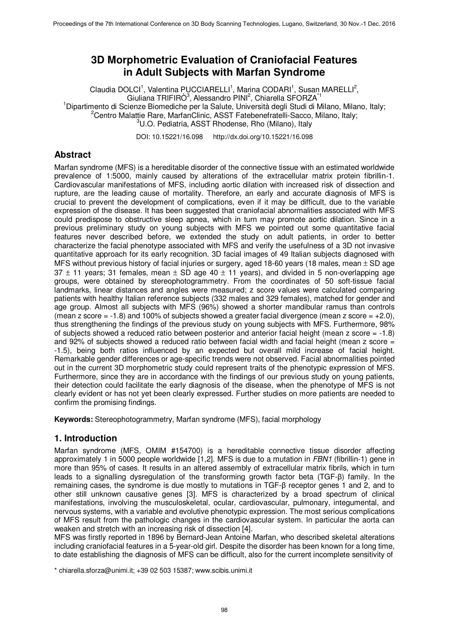# **3D Morphometric Evaluation of Craniofacial Features in Adult Subjects with Marfan Syndrome**

Claudia DOLCI<sup>1</sup>, Valentina PUCCIARELLI<sup>1</sup>, Marina CODARI<sup>1</sup>, Susan MARELLI<sup>2</sup>, Giuliana TRIFIRÒ<sup>3</sup>, Alessandro PINI<sup>2</sup>, Chiarella SFORZA<sup>\*1</sup> <sup>1</sup>Dipartimento di Scienze Biomediche per la Salute, Università degli Studi di Milano, Milano, Italy; <sup>2</sup>Centro Malattie Rare, MarfanClinic, ASST Fatebenefratelli-Sacco, Milano, Italy; <sup>3</sup>U.O. Pediatria, ASST Rhodense, Rho (Milano), Italy

DOI: 10.15221/16.098 http://dx.doi.org/10.15221/16.098

### **Abstract**

Marfan syndrome (MFS) is a hereditable disorder of the connective tissue with an estimated worldwide prevalence of 1:5000, mainly caused by alterations of the extracellular matrix protein fibrillin-1. Cardiovascular manifestations of MFS, including aortic dilation with increased risk of dissection and rupture, are the leading cause of mortality. Therefore, an early and accurate diagnosis of MFS is crucial to prevent the development of complications, even if it may be difficult, due to the variable expression of the disease. It has been suggested that craniofacial abnormalities associated with MFS could predispose to obstructive sleep apnea, which in turn may promote aortic dilation. Since in a previous preliminary study on young subjects with MFS we pointed out some quantitative facial features never described before, we extended the study on adult patients, in order to better characterize the facial phenotype associated with MFS and verify the usefulness of a 3D not invasive quantitative approach for its early recognition. 3D facial images of 49 Italian subjects diagnosed with MFS without previous history of facial injuries or surgery, aged 18-60 years (18 males, mean  $\pm$  SD age 37  $\pm$  11 years; 31 females, mean  $\pm$  SD age 40  $\pm$  11 years), and divided in 5 non-overlapping age groups, were obtained by stereophotogrammetry. From the coordinates of 50 soft-tissue facial landmarks, linear distances and angles were measured; z score values were calculated comparing patients with healthy Italian reference subjects (332 males and 329 females), matched for gender and age group. Almost all subjects with MFS (96%) showed a shorter mandibular ramus than controls (mean z score  $= -1.8$ ) and 100% of subjects showed a greater facial divergence (mean z score  $= +2.0$ ), thus strengthening the findings of the previous study on young subjects with MFS. Furthermore, 98% of subjects showed a reduced ratio between posterior and anterior facial height (mean z score = -1.8) and 92% of subjects showed a reduced ratio between facial width and facial height (mean z score = -1.5), being both ratios influenced by an expected but overall mild increase of facial height. Remarkable gender differences or age-specific trends were not observed. Facial abnormalities pointed out in the current 3D morphometric study could represent traits of the phenotypic expression of MFS. Furthermore, since they are in accordance with the findings of our previous study on young patients, their detection could facilitate the early diagnosis of the disease, when the phenotype of MFS is not clearly evident or has not yet been clearly expressed. Further studies on more patients are needed to confirm the promising findings.

**Keywords:** Stereophotogrammetry, Marfan syndrome (MFS), facial morphology

#### **1. Introduction**

Marfan syndrome (MFS, OMIM #154700) is a hereditable connective tissue disorder affecting approximately 1 in 5000 people worldwide [1,2]. MFS is due to a mutation in *FBN1* (fibrillin-1) gene in more than 95% of cases. It results in an altered assembly of extracellular matrix fibrils, which in turn leads to a signalling dysregulation of the transforming growth factor beta (TGF-β) family. In the remaining cases, the syndrome is due mostly to mutations in TGF-β receptor genes 1 and 2, and to other still unknown causative genes [3]. MFS is characterized by a broad spectrum of clinical manifestations, involving the musculoskeletal, ocular, cardiovascular, pulmonary, integumental, and nervous systems, with a variable and evolutive phenotypic expression. The most serious complications of MFS result from the pathologic changes in the cardiovascular system. In particular the aorta can weaken and stretch with an increasing risk of dissection [4].

MFS was firstly reported in 1896 by Bernard-Jean Antoine Marfan, who described skeletal alterations including craniofacial features in a 5-year-old girl. Despite the disorder has been known for a long time, to date establishing the diagnosis of MFS can be difficult, also for the current incomplete sensitivity of

\* chiarella.sforza@unimi.it; +39 02 503 15387; www.scibis.unimi.it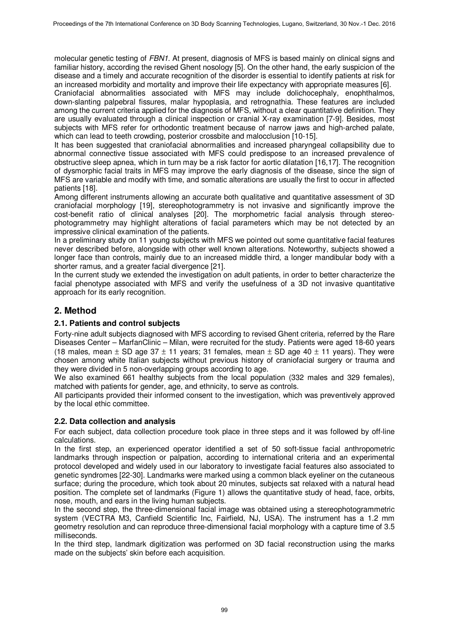molecular genetic testing of *FBN1*. At present, diagnosis of MFS is based mainly on clinical signs and familiar history, according the revised Ghent nosology [5]. On the other hand, the early suspicion of the disease and a timely and accurate recognition of the disorder is essential to identify patients at risk for an increased morbidity and mortality and improve their life expectancy with appropriate measures [6].

Craniofacial abnormalities associated with MFS may include dolichocephaly, enophthalmos, down-slanting palpebral fissures, malar hypoplasia, and retrognathia. These features are included among the current criteria applied for the diagnosis of MFS, without a clear quantitative definition. They are usually evaluated through a clinical inspection or cranial X-ray examination [7-9]. Besides, most subjects with MFS refer for orthodontic treatment because of narrow jaws and high-arched palate, which can lead to teeth crowding, posterior crossbite and malocclusion [10-15].

It has been suggested that craniofacial abnormalities and increased pharyngeal collapsibility due to abnormal connective tissue associated with MFS could predispose to an increased prevalence of obstructive sleep apnea, which in turn may be a risk factor for aortic dilatation [16,17]. The recognition of dysmorphic facial traits in MFS may improve the early diagnosis of the disease, since the sign of MFS are variable and modify with time, and somatic alterations are usually the first to occur in affected patients [18].

Among different instruments allowing an accurate both qualitative and quantitative assessment of 3D craniofacial morphology [19], stereophotogrammetry is not invasive and significantly improve the cost-benefit ratio of clinical analyses [20]. The morphometric facial analysis through stereophotogrammetry may highlight alterations of facial parameters which may be not detected by an impressive clinical examination of the patients.

In a preliminary study on 11 young subjects with MFS we pointed out some quantitative facial features never described before, alongside with other well known alterations. Noteworthy, subjects showed a longer face than controls, mainly due to an increased middle third, a longer mandibular body with a shorter ramus, and a greater facial divergence [21].

In the current study we extended the investigation on adult patients, in order to better characterize the facial phenotype associated with MFS and verify the usefulness of a 3D not invasive quantitative approach for its early recognition.

## **2. Method**

#### **2.1. Patients and control subjects**

Forty-nine adult subjects diagnosed with MFS according to revised Ghent criteria, referred by the Rare Diseases Center – MarfanClinic – Milan, were recruited for the study. Patients were aged 18-60 years (18 males, mean  $\pm$  SD age 37  $\pm$  11 years; 31 females, mean  $\pm$  SD age 40  $\pm$  11 years). They were chosen among white Italian subjects without previous history of craniofacial surgery or trauma and they were divided in 5 non-overlapping groups according to age.

We also examined 661 healthy subjects from the local population (332 males and 329 females), matched with patients for gender, age, and ethnicity, to serve as controls.

All participants provided their informed consent to the investigation, which was preventively approved by the local ethic committee.

#### **2.2. Data collection and analysis**

For each subject, data collection procedure took place in three steps and it was followed by off-line calculations.

In the first step, an experienced operator identified a set of 50 soft-tissue facial anthropometric landmarks through inspection or palpation, according to international criteria and an experimental protocol developed and widely used in our laboratory to investigate facial features also associated to genetic syndromes [22-30]. Landmarks were marked using a common black eyeliner on the cutaneous surface; during the procedure, which took about 20 minutes, subjects sat relaxed with a natural head position. The complete set of landmarks (Figure 1) allows the quantitative study of head, face, orbits, nose, mouth, and ears in the living human subjects.

In the second step, the three-dimensional facial image was obtained using a stereophotogrammetric system (VECTRA M3, Canfield Scientific Inc, Fairfield, NJ, USA). The instrument has a 1.2 mm geometry resolution and can reproduce three-dimensional facial morphology with a capture time of 3.5 milliseconds.

In the third step, landmark digitization was performed on 3D facial reconstruction using the marks made on the subjects' skin before each acquisition.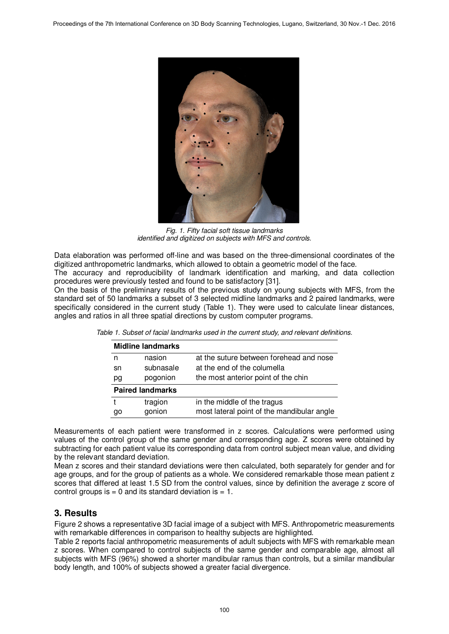

*Fig. 1. Fifty facial soft tissue landmarks identified and digitized on subjects with MFS and controls.* 

Data elaboration was performed off-line and was based on the three-dimensional coordinates of the digitized anthropometric landmarks, which allowed to obtain a geometric model of the face.

The accuracy and reproducibility of landmark identification and marking, and data collection procedures were previously tested and found to be satisfactory [31].

On the basis of the preliminary results of the previous study on young subjects with MFS, from the standard set of 50 landmarks a subset of 3 selected midline landmarks and 2 paired landmarks, were specifically considered in the current study (Table 1). They were used to calculate linear distances, angles and ratios in all three spatial directions by custom computer programs.

| <b>Midline landmarks</b> |           |                                            |  |  |
|--------------------------|-----------|--------------------------------------------|--|--|
|                          | nasion    | at the suture between forehead and nose    |  |  |
| sn                       | subnasale | at the end of the columella                |  |  |
| pg                       | pogonion  | the most anterior point of the chin        |  |  |
| <b>Paired landmarks</b>  |           |                                            |  |  |
|                          | tragion   | in the middle of the tragus                |  |  |
| go                       | gonion    | most lateral point of the mandibular angle |  |  |

*Table 1. Subset of facial landmarks used in the current study, and relevant definitions.* 

Measurements of each patient were transformed in z scores. Calculations were performed using values of the control group of the same gender and corresponding age. Z scores were obtained by subtracting for each patient value its corresponding data from control subject mean value, and dividing by the relevant standard deviation.

Mean z scores and their standard deviations were then calculated, both separately for gender and for age groups, and for the group of patients as a whole. We considered remarkable those mean patient z scores that differed at least 1.5 SD from the control values, since by definition the average z score of control groups is  $= 0$  and its standard deviation is  $= 1$ .

### **3. Results**

Figure 2 shows a representative 3D facial image of a subject with MFS. Anthropometric measurements with remarkable differences in comparison to healthy subjects are highlighted.

Table 2 reports facial anthropometric measurements of adult subjects with MFS with remarkable mean z scores. When compared to control subjects of the same gender and comparable age, almost all subjects with MFS (96%) showed a shorter mandibular ramus than controls, but a similar mandibular body length, and 100% of subjects showed a greater facial divergence.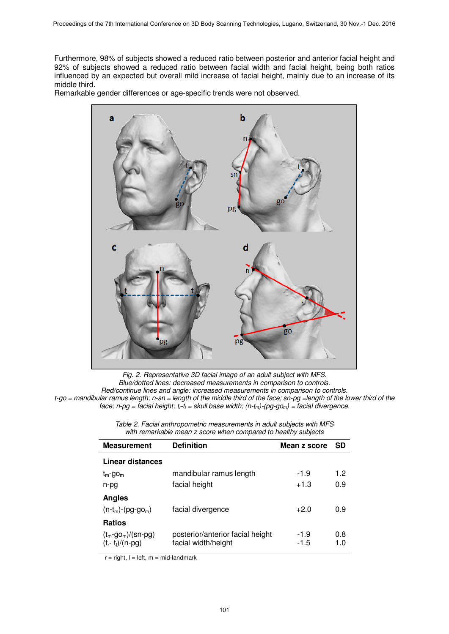Furthermore, 98% of subjects showed a reduced ratio between posterior and anterior facial height and 92% of subjects showed a reduced ratio between facial width and facial height, being both ratios influenced by an expected but overall mild increase of facial height, mainly due to an increase of its middle third.

Remarkable gender differences or age-specific trends were not observed.



*Fig. 2. Representative 3D facial image of an adult subject with MFS. Blue/dotted lines: decreased measurements in comparison to controls. Red/continue lines and angle: increased measurements in comparison to controls. t-go = mandibular ramus length; n-sn = length of the middle third of the face; sn-pg =length of the lower third of the face; n-pg = facial height; tr-tl = skull base width; (n-tm)-(pg-gom) = facial divergence.* 

| <b>Measurement</b>                           | <b>Definition</b>                                       | Mean z score     | SD         |  |  |
|----------------------------------------------|---------------------------------------------------------|------------------|------------|--|--|
| Linear distances                             |                                                         |                  |            |  |  |
| $t_{m}$ -go <sub>m</sub>                     | mandibular ramus length                                 | $-1.9$           | 1.2        |  |  |
| n-pg                                         | facial height                                           | $+1.3$           | 0.9        |  |  |
| Angles                                       |                                                         |                  |            |  |  |
| $(n-tm)-(pg-gom)$                            | facial divergence                                       | $+2.0$           | 0.9        |  |  |
| <b>Ratios</b>                                |                                                         |                  |            |  |  |
| $(t_m-go_m)/(sn-pg)$<br>$(t_r - t_l)/(n-pq)$ | posterior/anterior facial height<br>facial width/height | $-1.9$<br>$-1.5$ | 0.8<br>1.0 |  |  |

| Table 2. Facial anthropometric measurements in adult subjects with MFS |  |
|------------------------------------------------------------------------|--|
| with remarkable mean z score when compared to healthy subjects         |  |

 $r = right, l = left, m = mid-landmark$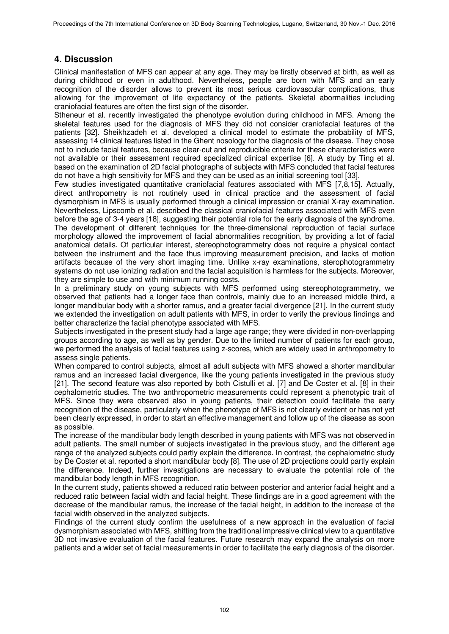## **4. Discussion**

Clinical manifestation of MFS can appear at any age. They may be firstly observed at birth, as well as during childhood or even in adulthood. Nevertheless, people are born with MFS and an early recognition of the disorder allows to prevent its most serious cardiovascular complications, thus allowing for the improvement of life expectancy of the patients. Skeletal abormalities including craniofacial features are often the first sign of the disorder.

Stheneur et al. recently investigated the phenotype evolution during childhood in MFS. Among the skeletal features used for the diagnosis of MFS they did not consider craniofacial features of the patients [32]. Sheikhzadeh et al. developed a clinical model to estimate the probability of MFS, assessing 14 clinical features listed in the Ghent nosology for the diagnosis of the disease. They chose not to include facial features, because clear-cut and reproducible criteria for these characteristics were not available or their assessment required specialized clinical expertise [6]. A study by Ting et al. based on the examination of 2D facial photographs of subjects with MFS concluded that facial features do not have a high sensitivity for MFS and they can be used as an initial screening tool [33].

Few studies investigated quantitative craniofacial features associated with MFS [7,8,15]. Actually, direct anthropometry is not routinely used in clinical practice and the assessment of facial dysmorphism in MFS is usually performed through a clinical impression or cranial X-ray examination. Nevertheless, Lipscomb et al. described the classical craniofacial features associated with MFS even before the age of 3-4 years [18], suggesting their potential role for the early diagnosis of the syndrome. The development of different techniques for the three-dimensional reproduction of facial surface morphology allowed the improvement of facial abnormalities recognition, by providing a lot of facial anatomical details. Of particular interest, stereophotogrammetry does not require a physical contact between the instrument and the face thus improving measurement precision, and lacks of motion artifacts because of the very short imaging time. Unlike x-ray examinations, sterophotogrammetry systems do not use ionizing radiation and the facial acquisition is harmless for the subjects. Moreover, they are simple to use and with minimum running costs.

In a preliminary study on young subjects with MFS performed using stereophotogrammetry, we observed that patients had a longer face than controls, mainly due to an increased middle third, a longer mandibular body with a shorter ramus, and a greater facial divergence [21]. In the current study we extended the investigation on adult patients with MFS, in order to verify the previous findings and better characterize the facial phenotype associated with MFS.

Subjects investigated in the present study had a large age range; they were divided in non-overlapping groups according to age, as well as by gender. Due to the limited number of patients for each group, we performed the analysis of facial features using z-scores, which are widely used in anthropometry to assess single patients.

When compared to control subjects, almost all adult subjects with MFS showed a shorter mandibular ramus and an increased facial divergence, like the young patients investigated in the previous study [21]. The second feature was also reported by both Cistulli et al. [7] and De Coster et al. [8] in their cephalometric studies. The two anthropometric measurements could represent a phenotypic trait of MFS. Since they were observed also in young patients, their detection could facilitate the early recognition of the disease, particularly when the phenotype of MFS is not clearly evident or has not yet been clearly expressed, in order to start an effective management and follow up of the disease as soon as possible.

The increase of the mandibular body length described in young patients with MFS was not observed in adult patients. The small number of subjects investigated in the previous study, and the different age range of the analyzed subjects could partly explain the difference. In contrast, the cephalometric study by De Coster et al. reported a short mandibular body [8]. The use of 2D projections could partly explain the difference. Indeed, further investigations are necessary to evaluate the potential role of the mandibular body length in MFS recognition.

In the current study, patients showed a reduced ratio between posterior and anterior facial height and a reduced ratio between facial width and facial height. These findings are in a good agreement with the decrease of the mandibular ramus, the increase of the facial height, in addition to the increase of the facial width observed in the analyzed subjects.

Findings of the current study confirm the usefulness of a new approach in the evaluation of facial dysmorphism associated with MFS, shifting from the traditional impressive clinical view to a quantitative 3D not invasive evaluation of the facial features. Future research may expand the analysis on more patients and a wider set of facial measurements in order to facilitate the early diagnosis of the disorder.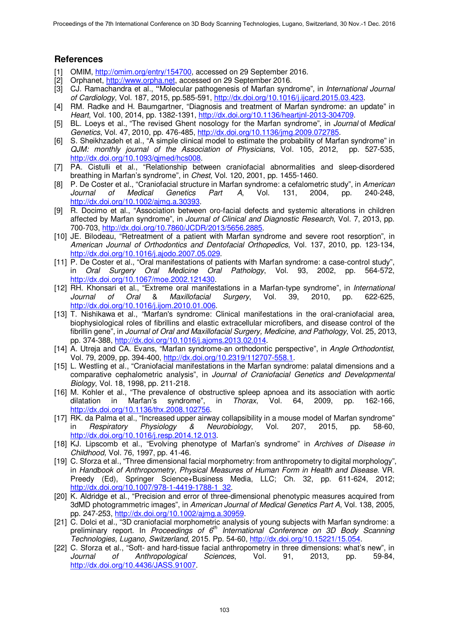# **References**

- [1] OMIM, http://omim.org/entry/154700, accessed on 29 September 2016.
- [2] Orphanet, http://www.orpha.net, accessed on 29 September 2016.
- [3] CJ. Ramachandra et al., **"**Molecular pathogenesis of Marfan syndrome", in *International Journal of Cardiology*, Vol. 187, 2015, pp.585-591, http://dx.doi.org/10.1016/j.ijcard.2015.03.423.
- [4] RM. Radke and H. Baumgartner, "Diagnosis and treatment of Marfan syndrome: an update" in *Heart*, Vol. 100, 2014, pp. 1382-1391, http://dx.doi.org/10.1136/heartjnl-2013-304709.
- [5] BL. Loeys et al., "The revised Ghent nosology for the Marfan syndrome", in *Journal* of *Medical Genetics*, Vol. 47, 2010, pp. 476-485, http://dx.doi.org/10.1136/jmg.2009.072785.
- [6] S. Sheikhzadeh et al., "A simple clinical model to estimate the probability of Marfan syndrome" in *QJM: monthly journal of the Association of Physicians*, Vol. 105, 2012, pp. 527-535, http://dx.doi.org/10.1093/qjmed/hcs008.
- [7] PA. Cistulli et al., "Relationship between craniofacial abnormalities and sleep-disordered breathing in Marfan's syndrome", in *Chest*, Vol. 120, 2001, pp. 1455-1460.
- [8] P. De Coster et al., "Craniofacial structure in Marfan syndrome: a cefalometric study", in *American Journal of Medical Genetics Part A*, Vol. 131, 2004, pp. 240-248, http://dx.doi.org/10.1002/ajmg.a.30393.
- [9] R. Docimo et al., "Association between oro-facial defects and systemic alterations in children affected by Marfan syndrome", in *Journal of Clinical and Diagnostic Research*, Vol. 7, 2013, pp. 700-703, http://dx.doi.org/10.7860/JCDR/2013/5656.2885.
- [10] JE. Bilodeau, "Retreatment of a patient with Marfan syndrome and severe root resorption", in *American Journal of Orthodontics and Dentofacial Orthopedics*, Vol. 137, 2010, pp. 123-134, http://dx.doi.org/10.1016/j.ajodo.2007.05.029.
- [11] P. De Coster et al., "Oral manifestations of patients with Marfan syndrome: a case-control study", in *Oral Surgery Oral Medicine Oral Pathology*, Vol. 93, 2002, pp. 564-572, http://dx.doi.org/10.1067/moe.2002.121430.
- [12] RH. Khonsari et al., "Extreme oral manifestations in a Marfan-type syndrome", in *International Journal of Oral* & *Maxillofacial Surgery*, Vol. 39, 2010, pp. 622-625, http://dx.doi.org/10.1016/j.ijom.2010.01.006.
- [13] T. Nishikawa et al., "Marfan's syndrome: Clinical manifestations in the oral-craniofacial area, biophysiological roles of fibrillins and elastic extracellular microfibers, and disease control of the fibrillin gene", in *Journal of Oral and Maxillofacial Surgery, Medicine, and Pathology*, Vol. 25, 2013, pp. 374-388, http://dx.doi.org/10.1016/j.ajoms.2013.02.014.
- [14] A. Utreja and CA. Evans, "Marfan syndrome-an orthodontic perspective", in *Angle Orthodontist*, Vol. 79, 2009, pp. 394-400, http://dx.doi.org/10.2319/112707-558.1.
- [15] L. Westling et al., "Craniofacial manifestations in the Marfan syndrome: palatal dimensions and a comparative cephalometric analysis", in *Journal of Craniofacial Genetics and Developmental Biology*, Vol. 18, 1998, pp. 211-218.
- [16] M. Kohler et al., "The prevalence of obstructive spleep apnoea and its association with aortic dilatation in Marfan's syndrome", in *Thorax*, Vol. 64, 2009, pp. 162-166, http://dx.doi.org/10.1136/thx.2008.102756.
- [17] RK. da Palma et al., "Increased upper airway collapsibility in a mouse model of Marfan syndrome" in *Respiratory Physiology & Neurobiology*, Vol. 207, 2015, pp. 58-60, http://dx.doi.org/10.1016/j.resp.2014.12.013.
- [18] KJ. Lipscomb et al., "Evolving phenotype of Marfan's syndrome" in *Archives of Disease in Childhood,* Vol. 76, 1997, pp. 41-46.
- [19] C. Sforza et al., "Three dimensional facial morphometry: from anthropometry to digital morphology", in *Handbook of Anthropometry*, *Physical Measures of Human Form in Health and Disease*. VR. Preedy (Ed), Springer Science+Business Media, LLC; Ch. 32, pp. 611-624, 2012; http://dx.doi.org/10.1007/978-1-4419-1788-1\_32.
- [20] K. Aldridge et al., "Precision and error of three-dimensional phenotypic measures acquired from 3dMD photogrammetric images", in *American Journal of Medical Genetics Part A*, Vol. 138, 2005, pp. 247-253, http://dx.doi.org/10.1002/ajmg.a.30959.
- [21] C. Dolci et al., "3D craniofacial morphometric analysis of young subjects with Marfan syndrome: a preliminary report. In *Proceedings of 6th International Conference on 3D Body Scanning Technologies, Lugano, Switzerland*, 2015. Pp. 54-60, http://dx.doi.org/10.15221/15.054.
- [22] C. Sforza et al., "Soft- and hard-tissue facial anthropometry in three dimensions: what's new", in *Journal of Anthropological Sciences*, Vol. 91, 2013, pp. 59-84, http://dx.doi.org/10.4436/JASS.91007.